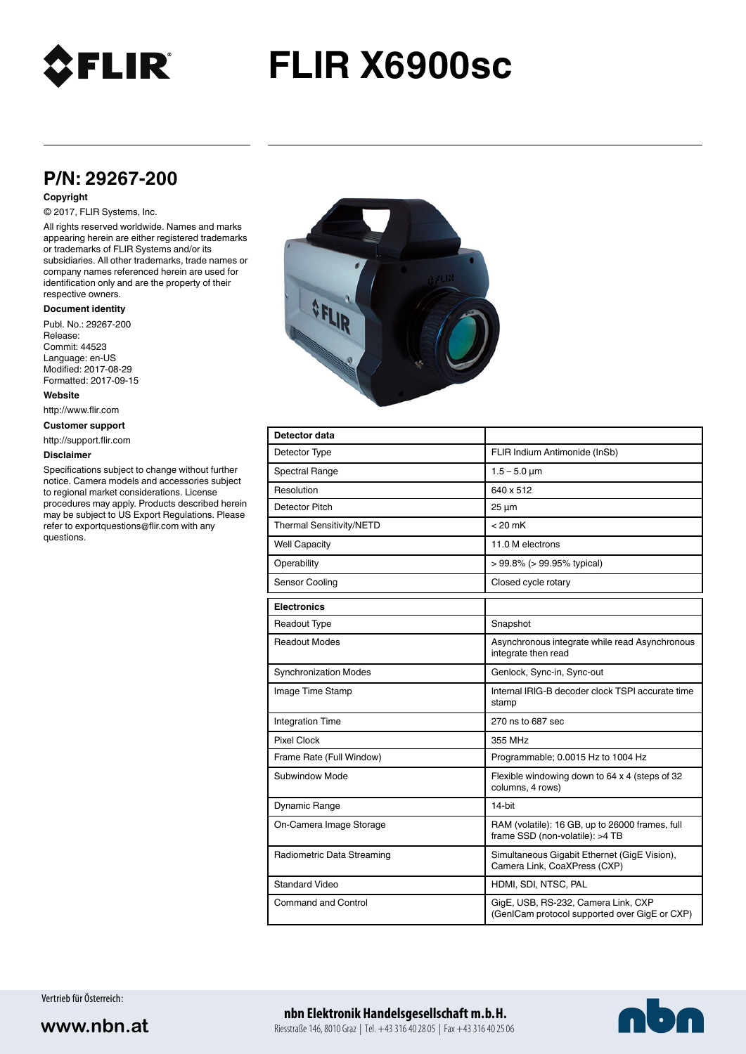

# **FLIR X6900sc**

## **P/N: 29267-200**

#### **Copyright**

#### © 2017, FLIR Systems, Inc.

All rights reserved worldwide. Names and marks appearing herein are either registered trademarks or trademarks of FLIR Systems and/or its subsidiaries. All other trademarks, trade names or company names referenced herein are used for identification only and are the property of their respective owners.

#### **Document identity**

Publ. No.: 29267-200 Release: Commit: 44523 Language: en-US Modified: 2017-08-29 Formatted: 2017-09-15

**Website**

http://www.flir.com

**Customer support**

http://support.flir.com

#### **Disclaimer**

Specifications subject to change without further notice. Camera models and accessories subject to regional market considerations. License procedures may apply. Products described herein may be subject to US Export Regulations. Please refer to exportquestions@flir.com with any questions.



| Detector data                |                                                                                      |
|------------------------------|--------------------------------------------------------------------------------------|
| Detector Type                | FLIR Indium Antimonide (InSb)                                                        |
| <b>Spectral Range</b>        | $1.5 - 5.0 \mu m$                                                                    |
| Resolution                   | 640 x 512                                                                            |
| Detector Pitch               | $25 \mu m$                                                                           |
| Thermal Sensitivity/NETD     | $< 20$ mK                                                                            |
| <b>Well Capacity</b>         | 11.0 M electrons                                                                     |
| Operability                  | $> 99.8\%$ ( $> 99.95\%$ typical)                                                    |
| Sensor Cooling               | Closed cycle rotary                                                                  |
| <b>Electronics</b>           |                                                                                      |
| <b>Readout Type</b>          | Snapshot                                                                             |
| <b>Readout Modes</b>         | Asynchronous integrate while read Asynchronous<br>integrate then read                |
| <b>Synchronization Modes</b> | Genlock, Sync-in, Sync-out                                                           |
| Image Time Stamp             | Internal IRIG-B decoder clock TSPI accurate time<br>stamp                            |
| <b>Integration Time</b>      | 270 ns to 687 sec                                                                    |
| <b>Pixel Clock</b>           | 355 MHz                                                                              |
| Frame Rate (Full Window)     | Programmable; 0.0015 Hz to 1004 Hz                                                   |
| Subwindow Mode               | Flexible windowing down to 64 x 4 (steps of 32<br>columns, 4 rows)                   |
| Dynamic Range                | 14-bit                                                                               |
| On-Camera Image Storage      | RAM (volatile): 16 GB, up to 26000 frames, full<br>frame SSD (non-volatile): >4 TB   |
| Radiometric Data Streaming   | Simultaneous Gigabit Ethernet (GigE Vision),<br>Camera Link, CoaXPress (CXP)         |
| <b>Standard Video</b>        | HDMI, SDI, NTSC, PAL                                                                 |
| Command and Control          | GigE, USB, RS-232, Camera Link, CXP<br>(GenICam protocol supported over GigE or CXP) |

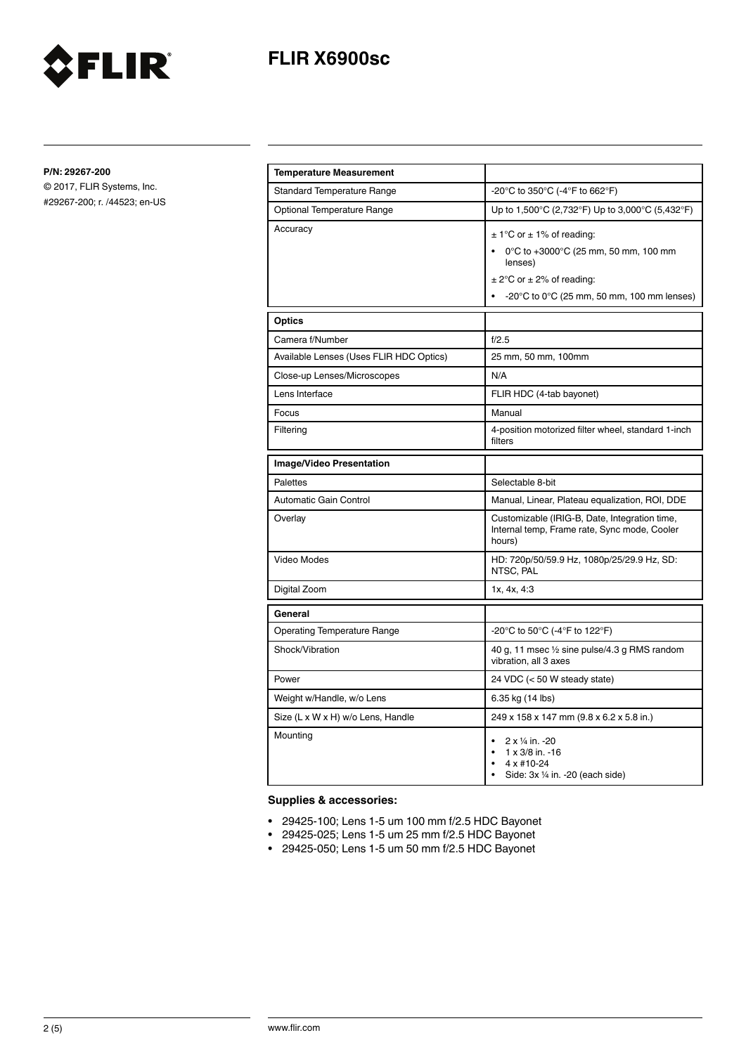

**P/N: 29267-200**

© 2017, FLIR Systems, Inc. #29267-200; r. /44523; en-US

FLIR®

| <b>Temperature Measurement</b>          |                                                                                                                                                                                              |
|-----------------------------------------|----------------------------------------------------------------------------------------------------------------------------------------------------------------------------------------------|
| <b>Standard Temperature Range</b>       | -20°C to 350°C (-4°F to 662°F)                                                                                                                                                               |
| Optional Temperature Range              | Up to 1,500°C (2,732°F) Up to 3,000°C (5,432°F)                                                                                                                                              |
| Accuracy                                | $\pm$ 1°C or $\pm$ 1% of reading:<br>0°C to +3000°C (25 mm, 50 mm, 100 mm<br>lenses)<br>$\pm$ 2°C or $\pm$ 2% of reading:<br>$-20^{\circ}$ C to 0 $^{\circ}$ C (25 mm, 50 mm, 100 mm lenses) |
| <b>Optics</b>                           |                                                                                                                                                                                              |
| Camera f/Number                         | f/2.5                                                                                                                                                                                        |
| Available Lenses (Uses FLIR HDC Optics) | 25 mm, 50 mm, 100mm                                                                                                                                                                          |
| Close-up Lenses/Microscopes             | N/A                                                                                                                                                                                          |
| Lens Interface                          | FLIR HDC (4-tab bayonet)                                                                                                                                                                     |
| Focus                                   | Manual                                                                                                                                                                                       |
| Filtering                               | 4-position motorized filter wheel, standard 1-inch<br>filters                                                                                                                                |
| <b>Image/Video Presentation</b>         |                                                                                                                                                                                              |
|                                         |                                                                                                                                                                                              |
| <b>Palettes</b>                         | Selectable 8-bit                                                                                                                                                                             |
| Automatic Gain Control                  | Manual, Linear, Plateau equalization, ROI, DDE                                                                                                                                               |
| Overlay                                 | Customizable (IRIG-B, Date, Integration time,<br>Internal temp, Frame rate, Sync mode, Cooler<br>hours)                                                                                      |
| Video Modes                             | HD: 720p/50/59.9 Hz, 1080p/25/29.9 Hz, SD:<br>NTSC, PAL                                                                                                                                      |
| Digital Zoom                            | 1x, 4x, 4:3                                                                                                                                                                                  |
| General                                 |                                                                                                                                                                                              |
| <b>Operating Temperature Range</b>      | -20°C to 50°C (-4°F to 122°F)                                                                                                                                                                |
| Shock/Vibration                         | 40 g, 11 msec 1/2 sine pulse/4.3 g RMS random<br>vibration, all 3 axes                                                                                                                       |
| Power                                   | 24 VDC (< 50 W steady state)                                                                                                                                                                 |
| Weight w/Handle, w/o Lens               | 6.35 kg (14 lbs)                                                                                                                                                                             |
| Size (L x W x H) w/o Lens, Handle       | 249 x 158 x 147 mm (9.8 x 6.2 x 5.8 in.)                                                                                                                                                     |

### **Supplies & accessories:**

- 29425-100; Lens 1-5 um 100 mm f/2.5 HDC Bayonet
- 29425-025; Lens 1-5 um 25 mm f/2.5 HDC Bayonet
- 29425-050; Lens 1-5 um 50 mm f/2.5 HDC Bayonet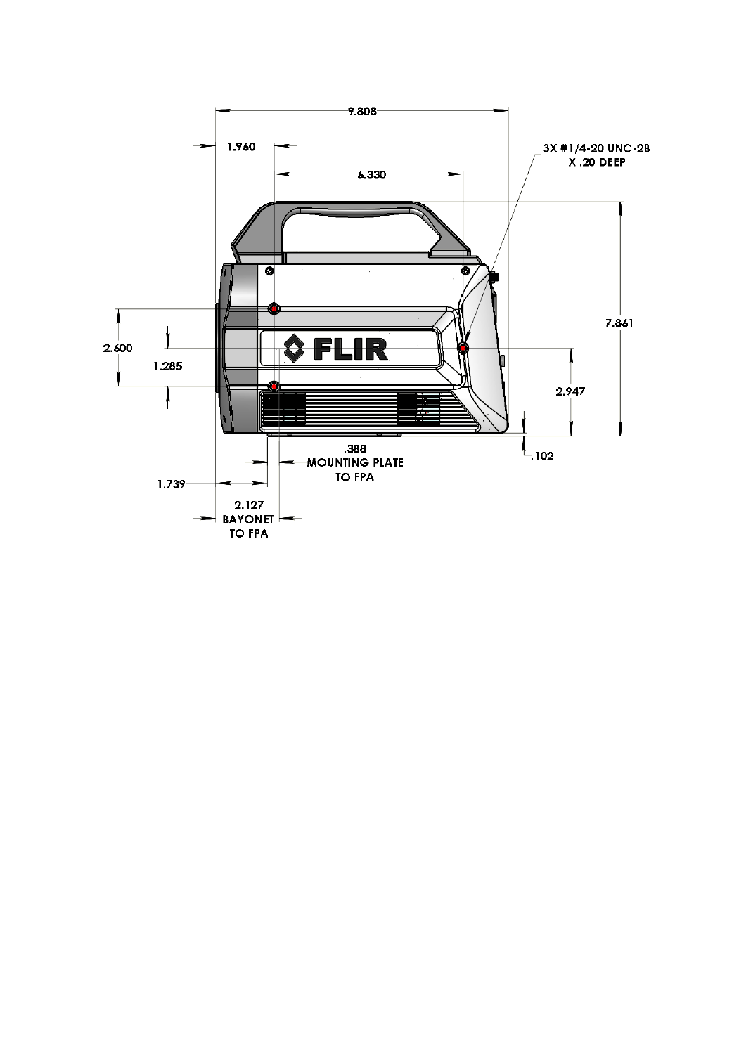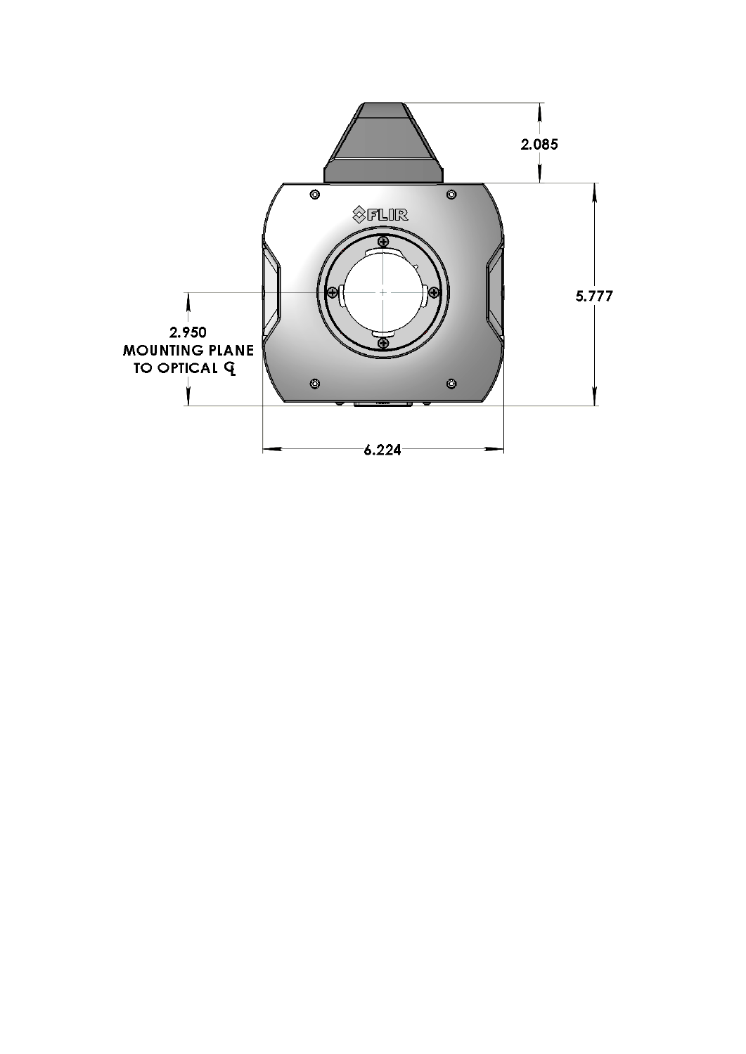